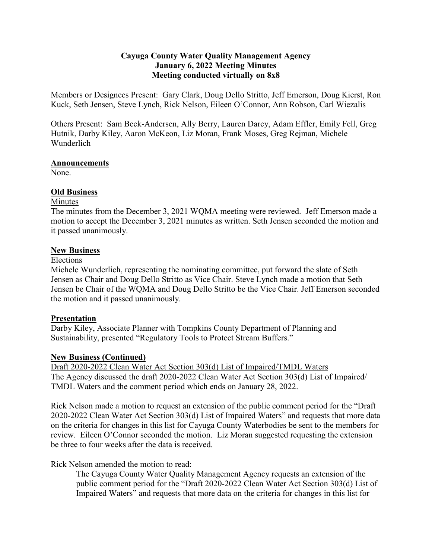# **Cayuga County Water Quality Management Agency January 6, 2022 Meeting Minutes Meeting conducted virtually on 8x8**

Members or Designees Present: Gary Clark, Doug Dello Stritto, Jeff Emerson, Doug Kierst, Ron Kuck, Seth Jensen, Steve Lynch, Rick Nelson, Eileen O'Connor, Ann Robson, Carl Wiezalis

Others Present: Sam Beck-Andersen, Ally Berry, Lauren Darcy, Adam Effler, Emily Fell, Greg Hutnik, Darby Kiley, Aaron McKeon, Liz Moran, Frank Moses, Greg Rejman, Michele Wunderlich

### **Announcements**

None.

# **Old Business**

## Minutes

The minutes from the December 3, 2021 WQMA meeting were reviewed. Jeff Emerson made a motion to accept the December 3, 2021 minutes as written. Seth Jensen seconded the motion and it passed unanimously.

## **New Business**

## Elections

Michele Wunderlich, representing the nominating committee, put forward the slate of Seth Jensen as Chair and Doug Dello Stritto as Vice Chair. Steve Lynch made a motion that Seth Jensen be Chair of the WQMA and Doug Dello Stritto be the Vice Chair. Jeff Emerson seconded the motion and it passed unanimously.

# **Presentation**

Darby Kiley, Associate Planner with Tompkins County Department of Planning and Sustainability, presented "Regulatory Tools to Protect Stream Buffers."

# **New Business (Continued)**

Draft 2020-2022 Clean Water Act Section 303(d) List of Impaired/TMDL Waters The Agency discussed the draft 2020-2022 Clean Water Act Section 303(d) List of Impaired/ TMDL Waters and the comment period which ends on January 28, 2022.

Rick Nelson made a motion to request an extension of the public comment period for the "Draft 2020-2022 Clean Water Act Section 303(d) List of Impaired Waters" and requests that more data on the criteria for changes in this list for Cayuga County Waterbodies be sent to the members for review. Eileen O'Connor seconded the motion. Liz Moran suggested requesting the extension be three to four weeks after the data is received.

Rick Nelson amended the motion to read:

The Cayuga County Water Quality Management Agency requests an extension of the public comment period for the "Draft 2020-2022 Clean Water Act Section 303(d) List of Impaired Waters" and requests that more data on the criteria for changes in this list for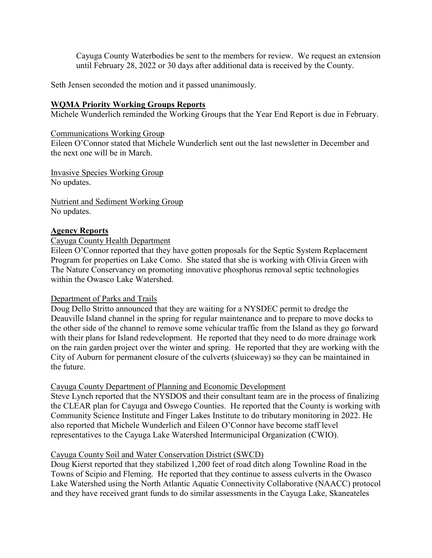Cayuga County Waterbodies be sent to the members for review. We request an extension until February 28, 2022 or 30 days after additional data is received by the County.

Seth Jensen seconded the motion and it passed unanimously.

### **WQMA Priority Working Groups Reports**

Michele Wunderlich reminded the Working Groups that the Year End Report is due in February.

#### Communications Working Group

Eileen O'Connor stated that Michele Wunderlich sent out the last newsletter in December and the next one will be in March.

Invasive Species Working Group No updates.

Nutrient and Sediment Working Group No updates.

#### **Agency Reports**

### Cayuga County Health Department

Eileen O'Connor reported that they have gotten proposals for the Septic System Replacement Program for properties on Lake Como. She stated that she is working with Olivia Green with The Nature Conservancy on promoting innovative phosphorus removal septic technologies within the Owasco Lake Watershed.

#### Department of Parks and Trails

Doug Dello Stritto announced that they are waiting for a NYSDEC permit to dredge the Deauville Island channel in the spring for regular maintenance and to prepare to move docks to the other side of the channel to remove some vehicular traffic from the Island as they go forward with their plans for Island redevelopment. He reported that they need to do more drainage work on the rain garden project over the winter and spring. He reported that they are working with the City of Auburn for permanent closure of the culverts (sluiceway) so they can be maintained in the future.

### Cayuga County Department of Planning and Economic Development

Steve Lynch reported that the NYSDOS and their consultant team are in the process of finalizing the CLEAR plan for Cayuga and Oswego Counties. He reported that the County is working with Community Science Institute and Finger Lakes Institute to do tributary monitoring in 2022. He also reported that Michele Wunderlich and Eileen O'Connor have become staff level representatives to the Cayuga Lake Watershed Intermunicipal Organization (CWIO).

### Cayuga County Soil and Water Conservation District (SWCD)

Doug Kierst reported that they stabilized 1,200 feet of road ditch along Townline Road in the Towns of Scipio and Fleming. He reported that they continue to assess culverts in the Owasco Lake Watershed using the North Atlantic Aquatic Connectivity Collaborative (NAACC) protocol and they have received grant funds to do similar assessments in the Cayuga Lake, Skaneateles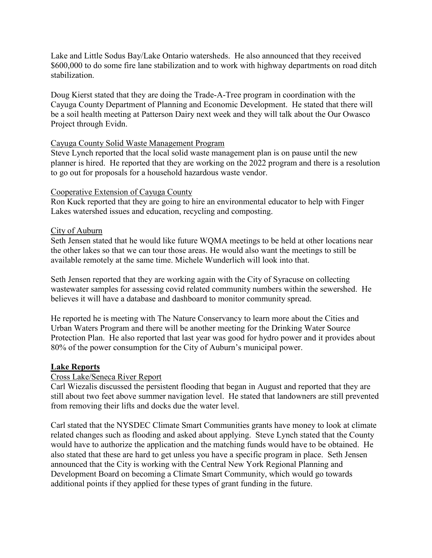Lake and Little Sodus Bay/Lake Ontario watersheds. He also announced that they received \$600,000 to do some fire lane stabilization and to work with highway departments on road ditch stabilization.

Doug Kierst stated that they are doing the Trade-A-Tree program in coordination with the Cayuga County Department of Planning and Economic Development. He stated that there will be a soil health meeting at Patterson Dairy next week and they will talk about the Our Owasco Project through Evidn.

### Cayuga County Solid Waste Management Program

Steve Lynch reported that the local solid waste management plan is on pause until the new planner is hired. He reported that they are working on the 2022 program and there is a resolution to go out for proposals for a household hazardous waste vendor.

## Cooperative Extension of Cayuga County

Ron Kuck reported that they are going to hire an environmental educator to help with Finger Lakes watershed issues and education, recycling and composting.

## City of Auburn

Seth Jensen stated that he would like future WQMA meetings to be held at other locations near the other lakes so that we can tour those areas. He would also want the meetings to still be available remotely at the same time. Michele Wunderlich will look into that.

Seth Jensen reported that they are working again with the City of Syracuse on collecting wastewater samples for assessing covid related community numbers within the sewershed. He believes it will have a database and dashboard to monitor community spread.

He reported he is meeting with The Nature Conservancy to learn more about the Cities and Urban Waters Program and there will be another meeting for the Drinking Water Source Protection Plan. He also reported that last year was good for hydro power and it provides about 80% of the power consumption for the City of Auburn's municipal power.

### **Lake Reports**

### Cross Lake/Seneca River Report

Carl Wiezalis discussed the persistent flooding that began in August and reported that they are still about two feet above summer navigation level. He stated that landowners are still prevented from removing their lifts and docks due the water level.

Carl stated that the NYSDEC Climate Smart Communities grants have money to look at climate related changes such as flooding and asked about applying. Steve Lynch stated that the County would have to authorize the application and the matching funds would have to be obtained. He also stated that these are hard to get unless you have a specific program in place. Seth Jensen announced that the City is working with the Central New York Regional Planning and Development Board on becoming a Climate Smart Community, which would go towards additional points if they applied for these types of grant funding in the future.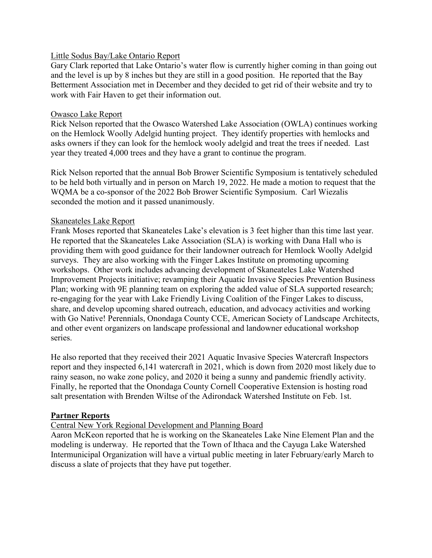### Little Sodus Bay/Lake Ontario Report

Gary Clark reported that Lake Ontario's water flow is currently higher coming in than going out and the level is up by 8 inches but they are still in a good position. He reported that the Bay Betterment Association met in December and they decided to get rid of their website and try to work with Fair Haven to get their information out.

### Owasco Lake Report

Rick Nelson reported that the Owasco Watershed Lake Association (OWLA) continues working on the Hemlock Woolly Adelgid hunting project. They identify properties with hemlocks and asks owners if they can look for the hemlock wooly adelgid and treat the trees if needed. Last year they treated 4,000 trees and they have a grant to continue the program.

Rick Nelson reported that the annual Bob Brower Scientific Symposium is tentatively scheduled to be held both virtually and in person on March 19, 2022. He made a motion to request that the WQMA be a co-sponsor of the 2022 Bob Brower Scientific Symposium. Carl Wiezalis seconded the motion and it passed unanimously.

## Skaneateles Lake Report

Frank Moses reported that Skaneateles Lake's elevation is 3 feet higher than this time last year. He reported that the Skaneateles Lake Association (SLA) is working with Dana Hall who is providing them with good guidance for their landowner outreach for Hemlock Woolly Adelgid surveys. They are also working with the Finger Lakes Institute on promoting upcoming workshops. Other work includes advancing development of Skaneateles Lake Watershed Improvement Projects initiative; revamping their Aquatic Invasive Species Prevention Business Plan; working with 9E planning team on exploring the added value of SLA supported research; re-engaging for the year with Lake Friendly Living Coalition of the Finger Lakes to discuss, share, and develop upcoming shared outreach, education, and advocacy activities and working with Go Native! Perennials, Onondaga County CCE, American Society of Landscape Architects, and other event organizers on landscape professional and landowner educational workshop series.

He also reported that they received their 2021 Aquatic Invasive Species Watercraft Inspectors report and they inspected 6,141 watercraft in 2021, which is down from 2020 most likely due to rainy season, no wake zone policy, and 2020 it being a sunny and pandemic friendly activity. Finally, he reported that the Onondaga County Cornell Cooperative Extension is hosting road salt presentation with Brenden Wiltse of the Adirondack Watershed Institute on Feb. 1st.

# **Partner Reports**

# Central New York Regional Development and Planning Board

Aaron McKeon reported that he is working on the Skaneateles Lake Nine Element Plan and the modeling is underway. He reported that the Town of Ithaca and the Cayuga Lake Watershed Intermunicipal Organization will have a virtual public meeting in later February/early March to discuss a slate of projects that they have put together.